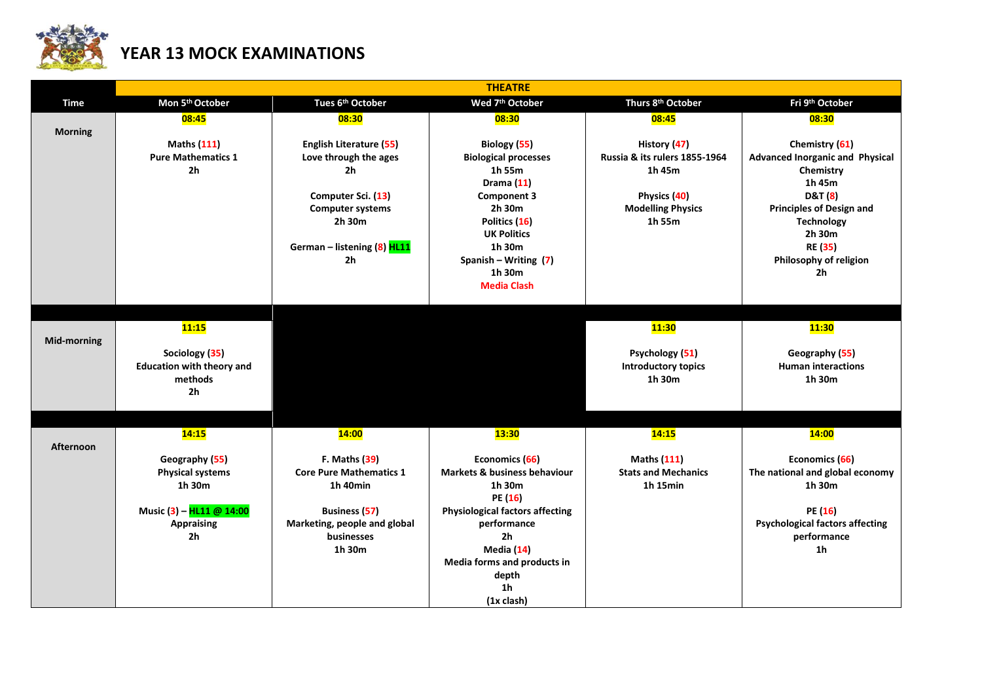

## **YEAR 13 MOCK EXAMINATIONS**

|                    |                                  |                                | <b>THEATRE</b>                            |                               |                                        |  |
|--------------------|----------------------------------|--------------------------------|-------------------------------------------|-------------------------------|----------------------------------------|--|
| Time               | Mon 5th October                  | Tues 6th October               | Wed 7 <sup>th</sup> October               | Thurs 8th October             | Fri 9th October                        |  |
|                    | 08:45                            | 08:30                          | 08:30                                     | 08:45                         | 08:30                                  |  |
| <b>Morning</b>     |                                  |                                |                                           |                               |                                        |  |
|                    | <b>Maths (111)</b>               | <b>English Literature (55)</b> | Biology (55)                              | History (47)                  | Chemistry (61)                         |  |
|                    | <b>Pure Mathematics 1</b>        | Love through the ages          | <b>Biological processes</b>               | Russia & its rulers 1855-1964 | <b>Advanced Inorganic and Physical</b> |  |
|                    | 2h                               | 2 <sub>h</sub>                 | 1h 55m                                    | 1h 45m                        | Chemistry<br>1h 45m                    |  |
|                    |                                  | Computer Sci. (13)             | Drama $(11)$<br><b>Component 3</b>        | Physics (40)                  | <b>D&amp;T</b> (8)                     |  |
|                    |                                  | <b>Computer systems</b>        | 2h 30m                                    | <b>Modelling Physics</b>      | <b>Principles of Design and</b>        |  |
|                    |                                  | 2h 30m                         | Politics (16)                             | 1h 55m                        | <b>Technology</b>                      |  |
|                    |                                  |                                | <b>UK Politics</b>                        |                               | 2h 30m                                 |  |
|                    |                                  | German - listening (8) HL11    | 1h 30m                                    |                               | <b>RE (35)</b>                         |  |
|                    |                                  | 2 <sub>h</sub>                 | Spanish - Writing (7)                     |                               | Philosophy of religion                 |  |
|                    |                                  |                                | 1h 30m                                    |                               | 2h                                     |  |
|                    |                                  |                                | <b>Media Clash</b>                        |                               |                                        |  |
|                    |                                  |                                |                                           |                               |                                        |  |
|                    | 11:15                            |                                |                                           | <b>11:30</b>                  | <b>11:30</b>                           |  |
| <b>Mid-morning</b> |                                  |                                |                                           |                               |                                        |  |
|                    | Sociology (35)                   |                                |                                           | Psychology (51)               | Geography (55)                         |  |
|                    | <b>Education with theory and</b> |                                |                                           | <b>Introductory topics</b>    | <b>Human interactions</b>              |  |
|                    | methods                          |                                |                                           | 1h 30m                        | 1h 30m                                 |  |
|                    | 2 <sub>h</sub>                   |                                |                                           |                               |                                        |  |
|                    |                                  |                                |                                           |                               |                                        |  |
|                    |                                  |                                |                                           |                               |                                        |  |
| Afternoon          | 14:15                            | <b>14:00</b>                   | <b>13:30</b>                              | 14:15                         | <b>14:00</b>                           |  |
|                    | Geography (55)                   | <b>F. Maths (39)</b>           | Economics (66)                            | <b>Maths (111)</b>            | Economics (66)                         |  |
|                    | <b>Physical systems</b>          | <b>Core Pure Mathematics 1</b> | <b>Markets &amp; business behaviour</b>   | <b>Stats and Mechanics</b>    | The national and global economy        |  |
|                    | 1h 30m                           | 1h 40min                       | 1h 30m                                    | 1h 15min                      | 1h 30m                                 |  |
|                    |                                  |                                | PE (16)                                   |                               |                                        |  |
|                    | Music (3) - HL11 @ 14:00         | <b>Business (57)</b>           | <b>Physiological factors affecting</b>    |                               | PE (16)                                |  |
|                    | <b>Appraising</b>                | Marketing, people and global   | performance                               |                               | <b>Psychological factors affecting</b> |  |
|                    | 2h                               | businesses<br>1h 30m           | 2 <sub>h</sub>                            |                               | performance<br>1 <sub>h</sub>          |  |
|                    |                                  |                                | Media (14)<br>Media forms and products in |                               |                                        |  |
|                    |                                  |                                | depth                                     |                               |                                        |  |
|                    |                                  |                                | 1 <sub>h</sub>                            |                               |                                        |  |
|                    |                                  |                                | $(1x \text{ clash})$                      |                               |                                        |  |